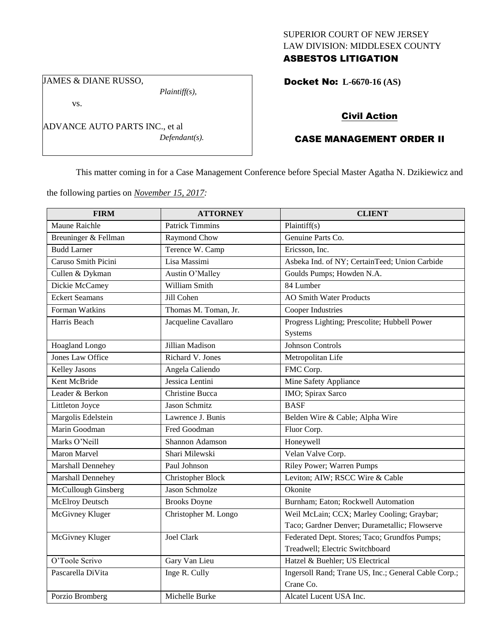# SUPERIOR COURT OF NEW JERSEY LAW DIVISION: MIDDLESEX COUNTY ASBESTOS LITIGATION

JAMES & DIANE RUSSO,

*Plaintiff(s),*

vs.

ADVANCE AUTO PARTS INC., et al *Defendant(s).* Docket No: **L-6670-16 (AS)** 

# Civil Action

# CASE MANAGEMENT ORDER II

This matter coming in for a Case Management Conference before Special Master Agatha N. Dzikiewicz and

the following parties on *November 15, 2017:*

| <b>FIRM</b>             | <b>ATTORNEY</b>          | <b>CLIENT</b>                                        |
|-------------------------|--------------------------|------------------------------------------------------|
| Maune Raichle           | <b>Patrick Timmins</b>   | Plaintiff(s)                                         |
| Breuninger & Fellman    | Raymond Chow             | Genuine Parts Co.                                    |
| <b>Budd Larner</b>      | Terence W. Camp          | Ericsson, Inc.                                       |
| Caruso Smith Picini     | Lisa Massimi             | Asbeka Ind. of NY; CertainTeed; Union Carbide        |
| Cullen & Dykman         | Austin O'Malley          | Goulds Pumps; Howden N.A.                            |
| Dickie McCamey          | William Smith            | 84 Lumber                                            |
| <b>Eckert Seamans</b>   | Jill Cohen               | <b>AO Smith Water Products</b>                       |
| Forman Watkins          | Thomas M. Toman, Jr.     | <b>Cooper Industries</b>                             |
| Harris Beach            | Jacqueline Cavallaro     | Progress Lighting; Prescolite; Hubbell Power         |
|                         |                          | Systems                                              |
| Hoagland Longo          | Jillian Madison          | <b>Johnson Controls</b>                              |
| <b>Jones Law Office</b> | Richard V. Jones         | Metropolitan Life                                    |
| Kelley Jasons           | Angela Caliendo          | FMC Corp.                                            |
| Kent McBride            | Jessica Lentini          | Mine Safety Appliance                                |
| Leader & Berkon         | <b>Christine Bucca</b>   | IMO; Spirax Sarco                                    |
| Littleton Joyce         | <b>Jason Schmitz</b>     | <b>BASF</b>                                          |
| Margolis Edelstein      | Lawrence J. Bunis        | Belden Wire & Cable; Alpha Wire                      |
| Marin Goodman           | Fred Goodman             | Fluor Corp.                                          |
| Marks O'Neill           | Shannon Adamson          | Honeywell                                            |
| Maron Marvel            | Shari Milewski           | Velan Valve Corp.                                    |
| Marshall Dennehey       | Paul Johnson             | <b>Riley Power; Warren Pumps</b>                     |
| Marshall Dennehey       | <b>Christopher Block</b> | Leviton; AIW; RSCC Wire & Cable                      |
| McCullough Ginsberg     | Jason Schmolze           | Okonite                                              |
| <b>McElroy Deutsch</b>  | <b>Brooks Doyne</b>      | Burnham; Eaton; Rockwell Automation                  |
| McGivney Kluger         | Christopher M. Longo     | Weil McLain; CCX; Marley Cooling; Graybar;           |
|                         |                          | Taco; Gardner Denver; Durametallic; Flowserve        |
| McGivney Kluger         | Joel Clark               | Federated Dept. Stores; Taco; Grundfos Pumps;        |
|                         |                          | Treadwell; Electric Switchboard                      |
| O'Toole Scrivo          | Gary Van Lieu            | Hatzel & Buehler; US Electrical                      |
| Pascarella DiVita       | Inge R. Cully            | Ingersoll Rand; Trane US, Inc.; General Cable Corp.; |
|                         |                          | Crane Co.                                            |
| Porzio Bromberg         | Michelle Burke           | Alcatel Lucent USA Inc.                              |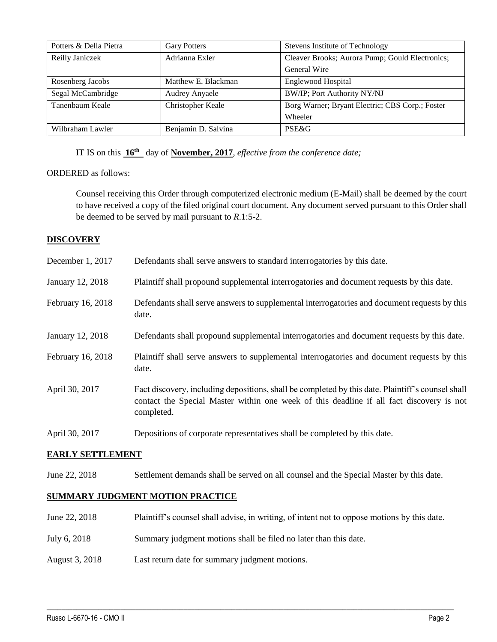| Potters & Della Pietra | <b>Gary Potters</b>   | Stevens Institute of Technology                 |
|------------------------|-----------------------|-------------------------------------------------|
| Reilly Janiczek        | Adrianna Exler        | Cleaver Brooks; Aurora Pump; Gould Electronics; |
|                        |                       | General Wire                                    |
| Rosenberg Jacobs       | Matthew E. Blackman   | Englewood Hospital                              |
| Segal McCambridge      | <b>Audrey Anyaele</b> | <b>BW/IP; Port Authority NY/NJ</b>              |
| Tanenbaum Keale        | Christopher Keale     | Borg Warner; Bryant Electric; CBS Corp.; Foster |
|                        |                       | Wheeler                                         |
| Wilbraham Lawler       | Benjamin D. Salvina   | PSE&G                                           |

IT IS on this **16th** day of **November, 2017**, *effective from the conference date;*

## ORDERED as follows:

Counsel receiving this Order through computerized electronic medium (E-Mail) shall be deemed by the court to have received a copy of the filed original court document. Any document served pursuant to this Order shall be deemed to be served by mail pursuant to *R*.1:5-2.

## **DISCOVERY**

| December 1, 2017  | Defendants shall serve answers to standard interrogatories by this date.                                                                                                                                    |
|-------------------|-------------------------------------------------------------------------------------------------------------------------------------------------------------------------------------------------------------|
| January 12, 2018  | Plaintiff shall propound supplemental interrogatories and document requests by this date.                                                                                                                   |
| February 16, 2018 | Defendants shall serve answers to supplemental interrogatories and document requests by this<br>date.                                                                                                       |
| January 12, 2018  | Defendants shall propound supplemental interrogatories and document requests by this date.                                                                                                                  |
| February 16, 2018 | Plaintiff shall serve answers to supplemental interrogatories and document requests by this<br>date.                                                                                                        |
| April 30, 2017    | Fact discovery, including depositions, shall be completed by this date. Plaintiff's counsel shall<br>contact the Special Master within one week of this deadline if all fact discovery is not<br>completed. |
| April 30, 2017    | Depositions of corporate representatives shall be completed by this date.                                                                                                                                   |

#### **EARLY SETTLEMENT**

June 22, 2018 Settlement demands shall be served on all counsel and the Special Master by this date.

# **SUMMARY JUDGMENT MOTION PRACTICE**

June 22, 2018 Plaintiff's counsel shall advise, in writing, of intent not to oppose motions by this date.

 $\_$  ,  $\_$  ,  $\_$  ,  $\_$  ,  $\_$  ,  $\_$  ,  $\_$  ,  $\_$  ,  $\_$  ,  $\_$  ,  $\_$  ,  $\_$  ,  $\_$  ,  $\_$  ,  $\_$  ,  $\_$  ,  $\_$  ,  $\_$  ,  $\_$  ,  $\_$  ,  $\_$  ,  $\_$  ,  $\_$  ,  $\_$  ,  $\_$  ,  $\_$  ,  $\_$  ,  $\_$  ,  $\_$  ,  $\_$  ,  $\_$  ,  $\_$  ,  $\_$  ,  $\_$  ,  $\_$  ,  $\_$  ,  $\_$  ,

- July 6, 2018 Summary judgment motions shall be filed no later than this date.
- August 3, 2018 Last return date for summary judgment motions.